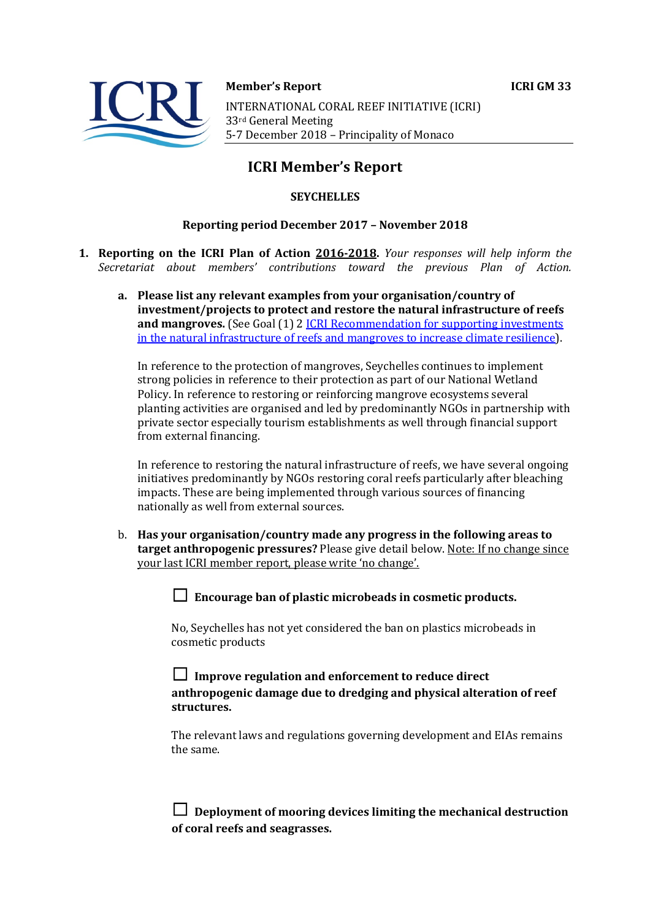

**Member's Report ICRI GM 33** 

INTERNATIONAL CORAL REEF INITIATIVE (ICRI) 33rd General Meeting 5-7 December 2018 - Principality of Monaco

# **ICRI Member's Report**

## **SEYCHELLES**

#### **Reporting period December 2017 - November 2018**

- **1. Reporting on the ICRI Plan of Action 2016-2018.** *Your responses will help inform the Secretariat about members' contributions toward the previous Plan of Action.*
	- a. Please list any relevant examples from your organisation/country of **investment/projects to protect and restore the natural infrastructure of reefs and mangroves.** (See Goal (1) 2 *ICRI Recommendation for supporting investments* in the natural infrastructure of reefs and mangroves to increase climate resilience).

In reference to the protection of mangroves, Seychelles continues to implement strong policies in reference to their protection as part of our National Wetland Policy. In reference to restoring or reinforcing mangrove ecosystems several planting activities are organised and led by predominantly NGOs in partnership with private sector especially tourism establishments as well through financial support from external financing.

In reference to restoring the natural infrastructure of reefs, we have several ongoing initiatives predominantly by NGOs restoring coral reefs particularly after bleaching impacts. These are being implemented through various sources of financing nationally as well from external sources.

b. Has your organisation/country made any progress in the following areas to **target anthropogenic pressures?** Please give detail below. Note: If no change since your last ICRI member report, please write 'no change'.

 $\Box$  Encourage ban of plastic microbeads in cosmetic products.

No, Seychelles has not yet considered the ban on plastics microbeads in cosmetic products

□ Improve regulation and enforcement to reduce direct anthropogenic damage due to dredging and physical alteration of reef **structures.**

The relevant laws and regulations governing development and EIAs remains the same.

 $\Box$  Deployment of mooring devices limiting the mechanical destruction of coral reefs and seagrasses.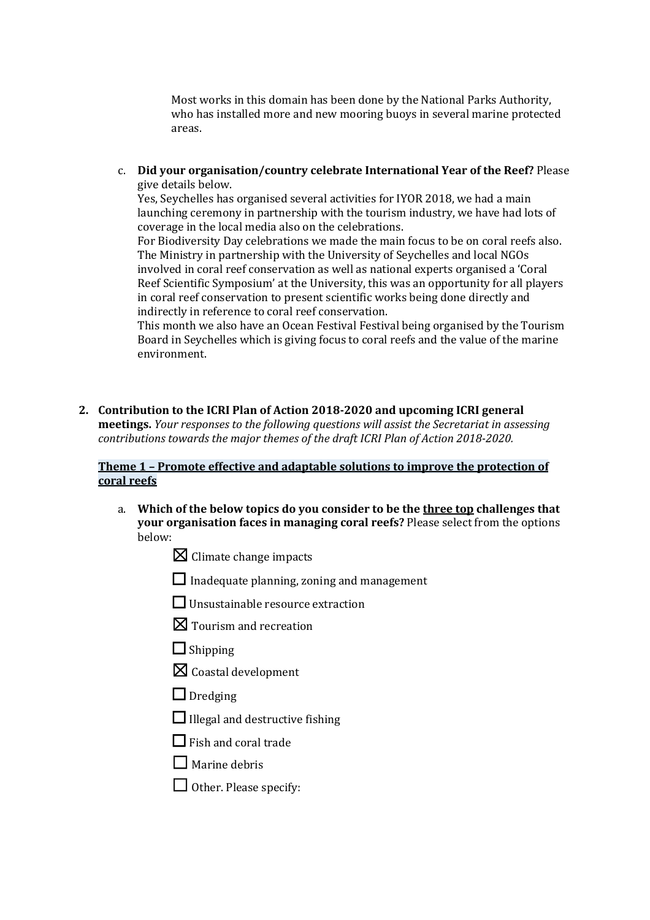Most works in this domain has been done by the National Parks Authority, who has installed more and new mooring buoys in several marine protected areas.

c. **Did your organisation/country celebrate International Year of the Reef?** Please give details below.

Yes, Seychelles has organised several activities for IYOR 2018, we had a main launching ceremony in partnership with the tourism industry, we have had lots of coverage in the local media also on the celebrations.

For Biodiversity Day celebrations we made the main focus to be on coral reefs also. The Ministry in partnership with the University of Seychelles and local NGOs involved in coral reef conservation as well as national experts organised a 'Coral Reef Scientific Symposium' at the University, this was an opportunity for all players in coral reef conservation to present scientific works being done directly and indirectly in reference to coral reef conservation.

This month we also have an Ocean Festival Festival being organised by the Tourism Board in Seychelles which is giving focus to coral reefs and the value of the marine environment.

2. Contribution to the ICRI Plan of Action 2018-2020 and upcoming ICRI general meetings. Your responses to the following questions will assist the Secretariat in assessing *contributions towards the major themes of the draft ICRI Plan of Action 2018-2020.* 

#### **Theme 1 - Promote effective and adaptable solutions to improve the protection of coral reefs**

- a. Which of the below topics do you consider to be the three top challenges that **your organisation faces in managing coral reefs?** Please select from the options below:
	- $\boxtimes$  Climate change impacts
	- $\Box$  Inadequate planning, zoning and management
	- $\Box$  Unsustainable resource extraction
	- $\boxtimes$  Tourism and recreation
	- $\Box$  Shipping
	- $\boxtimes$  Coastal development
	- □ Dredging
	- $\Box$  Illegal and destructive fishing
	- $\Box$  Fish and coral trade
	- $\Box$  Marine debris
	- $\Box$  Other. Please specify: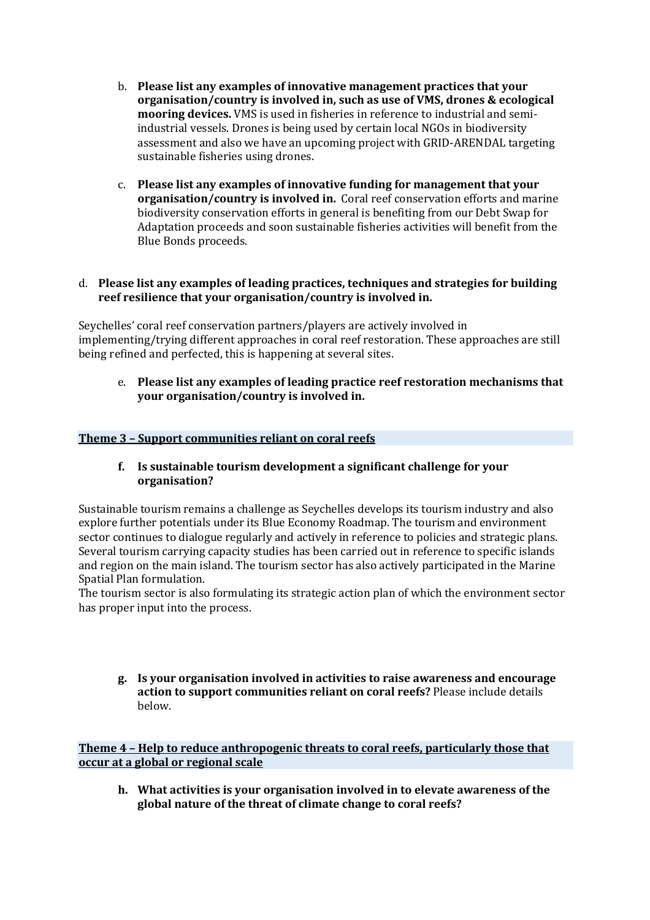- b. **Please list any examples of innovative management practices that your organisation/country is involved in, such as use of VMS, drones & ecological mooring devices.** VMS is used in fisheries in reference to industrial and semiindustrial vessels. Drones is being used by certain local NGOs in biodiversity assessment and also we have an upcoming project with GRID-ARENDAL targeting sustainable fisheries using drones.
- c. **Please list any examples of innovative funding for management that your organisation/country is involved in.** Coral reef conservation efforts and marine biodiversity conservation efforts in general is benefiting from our Debt Swap for Adaptation proceeds and soon sustainable fisheries activities will benefit from the Blue Bonds proceeds.

### d. **Please list any examples of leading practices, techniques and strategies for building** reef resilience that your organisation/country is involved in.

Seychelles' coral reef conservation partners/players are actively involved in implementing/trying different approaches in coral reef restoration. These approaches are still being refined and perfected, this is happening at several sites.

e. Please list any examples of leading practice reef restoration mechanisms that **your organisation/country is involved in.** 

### **Theme 3 - Support communities reliant on coral reefs**

#### **f.** Is sustainable tourism development a significant challenge for your **organisation?**

Sustainable tourism remains a challenge as Seychelles develops its tourism industry and also explore further potentials under its Blue Economy Roadmap. The tourism and environment sector continues to dialogue regularly and actively in reference to policies and strategic plans. Several tourism carrying capacity studies has been carried out in reference to specific islands and region on the main island. The tourism sector has also actively participated in the Marine Spatial Plan formulation.

The tourism sector is also formulating its strategic action plan of which the environment sector has proper input into the process.

**g. Is your organisation involved in activities to raise awareness and encourage**  action to support communities reliant on coral reefs? Please include details below.

**Theme 4 - Help to reduce anthropogenic threats to coral reefs, particularly those that occur at a global or regional scale** 

**h.** What activities is your organisation involved in to elevate awareness of the global nature of the threat of climate change to coral reefs?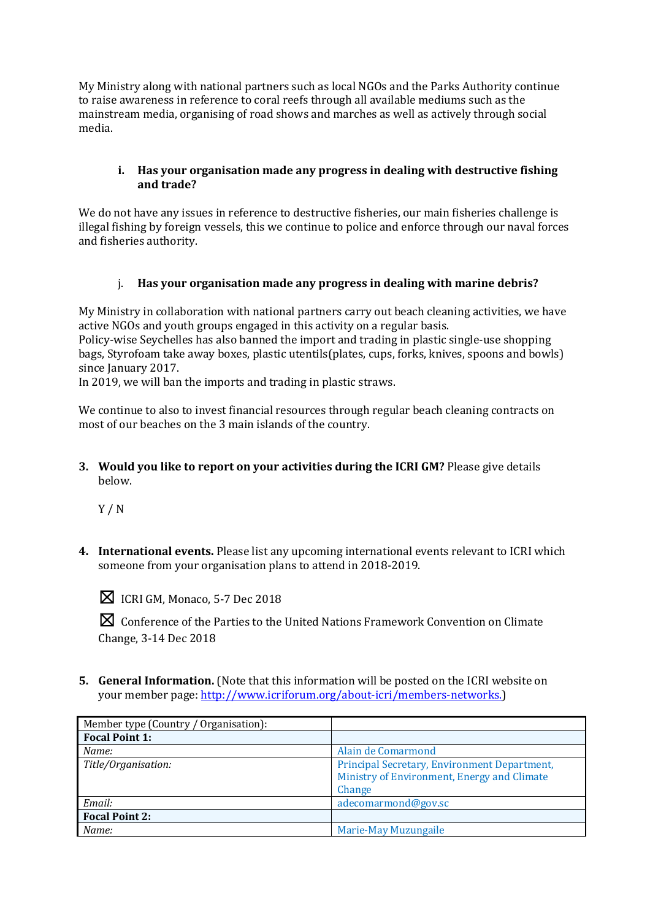My Ministry along with national partners such as local NGOs and the Parks Authority continue to raise awareness in reference to coral reefs through all available mediums such as the mainstream media, organising of road shows and marches as well as actively through social media.

### **i.** Has your organisation made any progress in dealing with destructive fishing **and trade?**

We do not have any issues in reference to destructive fisheries, our main fisheries challenge is illegal fishing by foreign vessels, this we continue to police and enforce through our naval forces and fisheries authority.

## i. Has your organisation made any progress in dealing with marine debris?

My Ministry in collaboration with national partners carry out beach cleaning activities, we have active NGOs and youth groups engaged in this activity on a regular basis. Policy-wise Seychelles has also banned the import and trading in plastic single-use shopping

bags, Styrofoam take away boxes, plastic utentils(plates, cups, forks, knives, spoons and bowls) since Ianuary 2017.

In 2019, we will ban the imports and trading in plastic straws.

We continue to also to invest financial resources through regular beach cleaning contracts on most of our beaches on the 3 main islands of the country.

**3.** Would you like to report on your activities during the ICRI GM? Please give details below.

Y / N

**4.** International events. Please list any upcoming international events relevant to ICRI which someone from your organisation plans to attend in 2018-2019.



 $\boxtimes$  ICRI GM, Monaco, 5-7 Dec 2018

**⊠** Conference of the Parties to the United Nations Framework Convention on Climate Change, 3-14 Dec 2018

**5. General Information.** (Note that this information will be posted on the ICRI website on your member page: http://www.icriforum.org/about-icri/members-networks.)

| Member type (Country / Organisation): |                                                                                                       |
|---------------------------------------|-------------------------------------------------------------------------------------------------------|
| <b>Focal Point 1:</b>                 |                                                                                                       |
| Name:                                 | Alain de Comarmond                                                                                    |
| Title/Organisation:                   | Principal Secretary, Environment Department,<br>Ministry of Environment, Energy and Climate<br>Change |
| Email:                                | adecomarmond@gov.sc                                                                                   |
| <b>Focal Point 2:</b>                 |                                                                                                       |
| Name:                                 | <b>Marie-May Muzungaile</b>                                                                           |